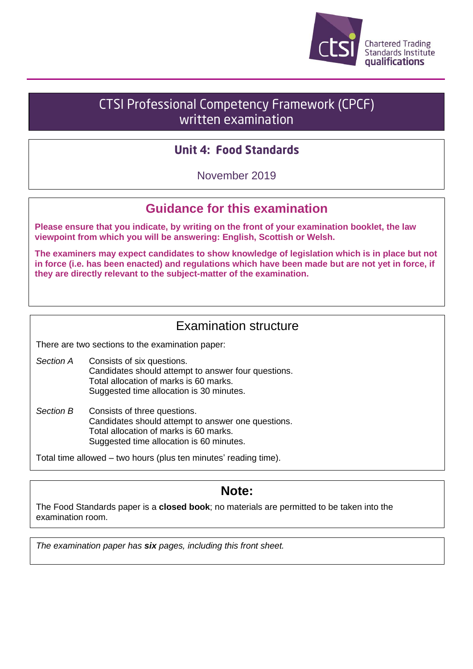

# **CTSI Professional Competency Framework (CPCF)** written examination

### **Unit 4: Food Standards**

November 2019

## **Guidance for this examination**

**Please ensure that you indicate, by writing on the front of your examination booklet, the law viewpoint from which you will be answering: English, Scottish or Welsh.**

**The examiners may expect candidates to show knowledge of legislation which is in place but not in force (i.e. has been enacted) and regulations which have been made but are not yet in force, if they are directly relevant to the subject-matter of the examination.**

### Examination structure

There are two sections to the examination paper:

- *Section A* Consists of six questions. Candidates should attempt to answer four questions. Total allocation of marks is 60 marks. Suggested time allocation is 30 minutes.
- *Section B* Consists of three questions. Candidates should attempt to answer one questions. Total allocation of marks is 60 marks. Suggested time allocation is 60 minutes.

Total time allowed – two hours (plus ten minutes' reading time).

### **Note:**

The Food Standards paper is a **closed book**; no materials are permitted to be taken into the examination room.

*The examination paper has six pages, including this front sheet.*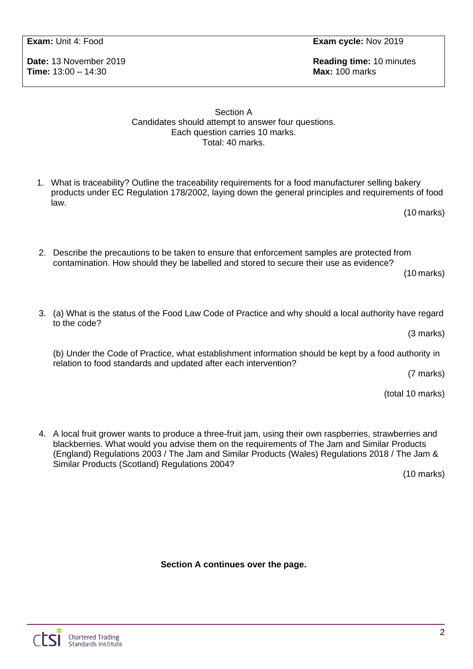**Date:** 13 November 2019 **Reading time:** 10 minutes **Time:** 13:00 – 14:30 **Max:** 100 marks

#### Section A Candidates should attempt to answer four questions. Each question carries 10 marks. Total: 40 marks.

1. What is traceability? Outline the traceability requirements for a food manufacturer selling bakery products under EC Regulation 178/2002, laying down the general principles and requirements of food law.

(10 marks)

2. Describe the precautions to be taken to ensure that enforcement samples are protected from contamination. How should they be labelled and stored to secure their use as evidence? (10 marks)

3. (a) What is the status of the Food Law Code of Practice and why should a local authority have regard to the code?

(3 marks)

(b) Under the Code of Practice, what establishment information should be kept by a food authority in relation to food standards and updated after each intervention?

(7 marks)

(total 10 marks)

4. A local fruit grower wants to produce a three-fruit jam, using their own raspberries, strawberries and blackberries. What would you advise them on the requirements of The Jam and Similar Products (England) Regulations 2003 / The Jam and Similar Products (Wales) Regulations 2018 / The Jam & Similar Products (Scotland) Regulations 2004?

(10 marks)

**Section A continues over the page.**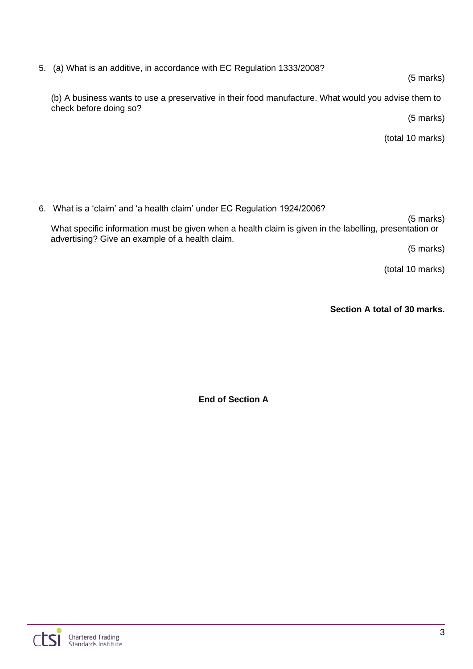5. (a) What is an additive, in accordance with EC Regulation 1333/2008?

#### (5 marks)

(b) A business wants to use a preservative in their food manufacture. What would you advise them to check before doing so?

(5 marks)

(total 10 marks)

6. What is a 'claim' and 'a health claim' under EC Regulation 1924/2006?

(5 marks) What specific information must be given when a health claim is given in the labelling, presentation or advertising? Give an example of a health claim.

(5 marks)

(total 10 marks)

**Section A total of 30 marks.**

**End of Section A**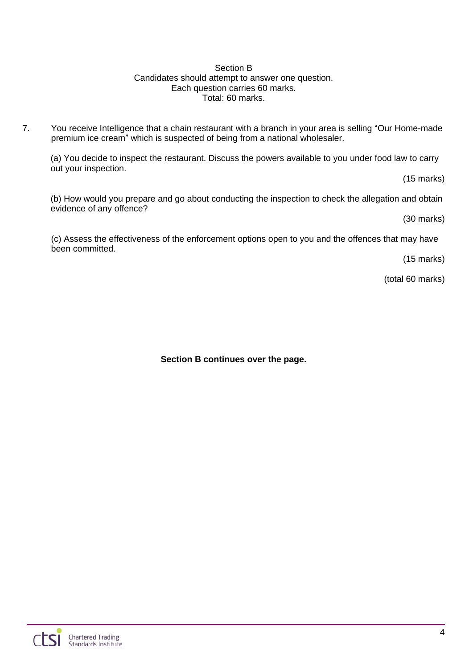#### Section B Candidates should attempt to answer one question. Each question carries 60 marks. Total: 60 marks.

7. You receive Intelligence that a chain restaurant with a branch in your area is selling "Our Home-made premium ice cream" which is suspected of being from a national wholesaler.

(a) You decide to inspect the restaurant. Discuss the powers available to you under food law to carry out your inspection.

(15 marks)

(b) How would you prepare and go about conducting the inspection to check the allegation and obtain evidence of any offence?

(30 marks)

(c) Assess the effectiveness of the enforcement options open to you and the offences that may have been committed.

(15 marks)

(total 60 marks)

**Section B continues over the page.**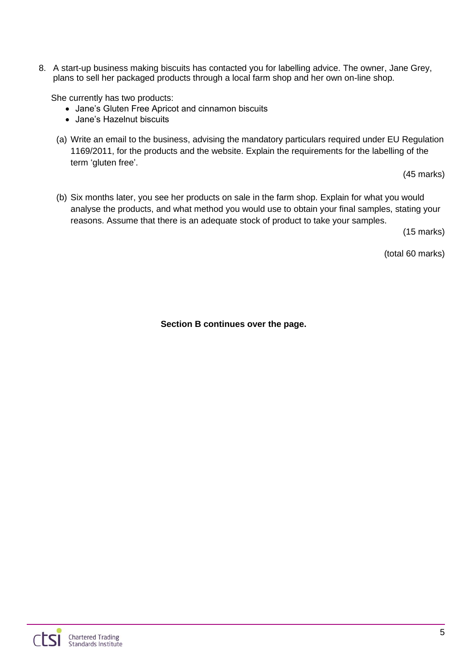8. A start-up business making biscuits has contacted you for labelling advice. The owner, Jane Grey, plans to sell her packaged products through a local farm shop and her own on-line shop.

She currently has two products:

- Jane's Gluten Free Apricot and cinnamon biscuits
- Jane's Hazelnut biscuits
- (a) Write an email to the business, advising the mandatory particulars required under EU Regulation 1169/2011, for the products and the website. Explain the requirements for the labelling of the term 'gluten free'.

(45 marks)

(b) Six months later, you see her products on sale in the farm shop. Explain for what you would analyse the products, and what method you would use to obtain your final samples, stating your reasons. Assume that there is an adequate stock of product to take your samples.

(15 marks)

(total 60 marks)

**Section B continues over the page.**